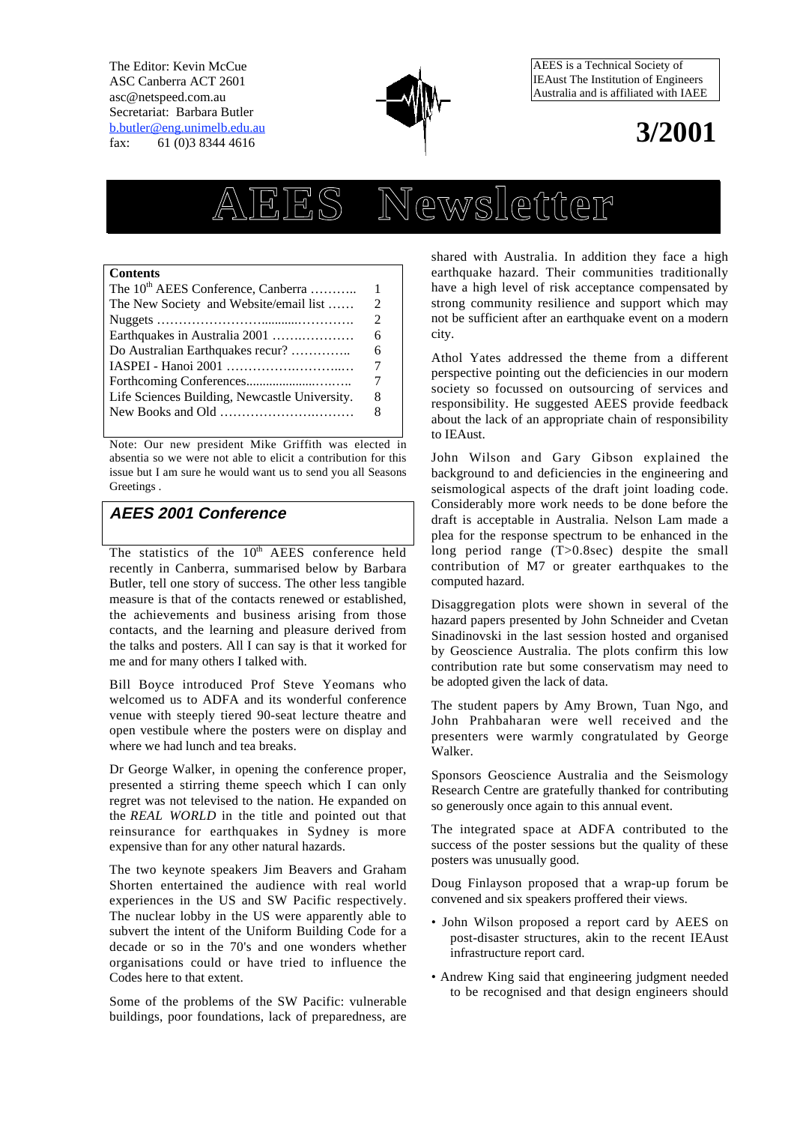The Editor: Kevin McCue ASC Canberra ACT 2601 asc@netspeed.com.au Secretariat: Barbara Butler b.butler@eng.unimelb.edu.au fax: 61 (0)3 8344 4616



AEES is a Technical Society of IEAust The Institution of Engineers Australia and is affiliated with IAEE

## **3/2001**

# **AEES Newsletter**

#### **Contents**

| The 10 <sup>th</sup> AEES Conference, Canberra                                   | 1              |
|----------------------------------------------------------------------------------|----------------|
| The New Society and Website/email list                                           |                |
|                                                                                  | $\mathfrak{D}$ |
| Earthquakes in Australia 2001                                                    | 6              |
| Do Australian Earthquakes recur?                                                 | 6              |
|                                                                                  |                |
|                                                                                  |                |
| Life Sciences Building, Newcastle University.                                    | 8              |
| New Books and Old $\dots\dots\dots\dots\dots\dots\dots\dots\dots\dots\dots\dots$ | 8              |
|                                                                                  |                |

Note: Our new president Mike Griffith was elected in absentia so we were not able to elicit a contribution for this issue but I am sure he would want us to send you all Seasons Greetings .

## **AEES 2001 Conference**

The statistics of the  $10<sup>th</sup>$  AEES conference held recently in Canberra, summarised below by Barbara Butler, tell one story of success. The other less tangible measure is that of the contacts renewed or established, the achievements and business arising from those contacts, and the learning and pleasure derived from the talks and posters. All I can say is that it worked for me and for many others I talked with.

Bill Boyce introduced Prof Steve Yeomans who welcomed us to ADFA and its wonderful conference venue with steeply tiered 90-seat lecture theatre and open vestibule where the posters were on display and where we had lunch and tea breaks.

Dr George Walker, in opening the conference proper, presented a stirring theme speech which I can only regret was not televised to the nation. He expanded on the *REAL WORLD* in the title and pointed out that reinsurance for earthquakes in Sydney is more expensive than for any other natural hazards.

The two keynote speakers Jim Beavers and Graham Shorten entertained the audience with real world experiences in the US and SW Pacific respectively. The nuclear lobby in the US were apparently able to subvert the intent of the Uniform Building Code for a decade or so in the 70's and one wonders whether organisations could or have tried to influence the Codes here to that extent.

Some of the problems of the SW Pacific: vulnerable buildings, poor foundations, lack of preparedness, are shared with Australia. In addition they face a high earthquake hazard. Their communities traditionally have a high level of risk acceptance compensated by strong community resilience and support which may not be sufficient after an earthquake event on a modern city.

Athol Yates addressed the theme from a different perspective pointing out the deficiencies in our modern society so focussed on outsourcing of services and responsibility. He suggested AEES provide feedback about the lack of an appropriate chain of responsibility to IEAust.

John Wilson and Gary Gibson explained the background to and deficiencies in the engineering and seismological aspects of the draft joint loading code. Considerably more work needs to be done before the draft is acceptable in Australia. Nelson Lam made a plea for the response spectrum to be enhanced in the long period range (T>0.8sec) despite the small contribution of M7 or greater earthquakes to the computed hazard.

Disaggregation plots were shown in several of the hazard papers presented by John Schneider and Cvetan Sinadinovski in the last session hosted and organised by Geoscience Australia. The plots confirm this low contribution rate but some conservatism may need to be adopted given the lack of data.

The student papers by Amy Brown, Tuan Ngo, and John Prahbaharan were well received and the presenters were warmly congratulated by George Walker.

Sponsors Geoscience Australia and the Seismology Research Centre are gratefully thanked for contributing so generously once again to this annual event.

The integrated space at ADFA contributed to the success of the poster sessions but the quality of these posters was unusually good.

Doug Finlayson proposed that a wrap-up forum be convened and six speakers proffered their views.

- John Wilson proposed a report card by AEES on post-disaster structures, akin to the recent IEAust infrastructure report card.
- Andrew King said that engineering judgment needed to be recognised and that design engineers should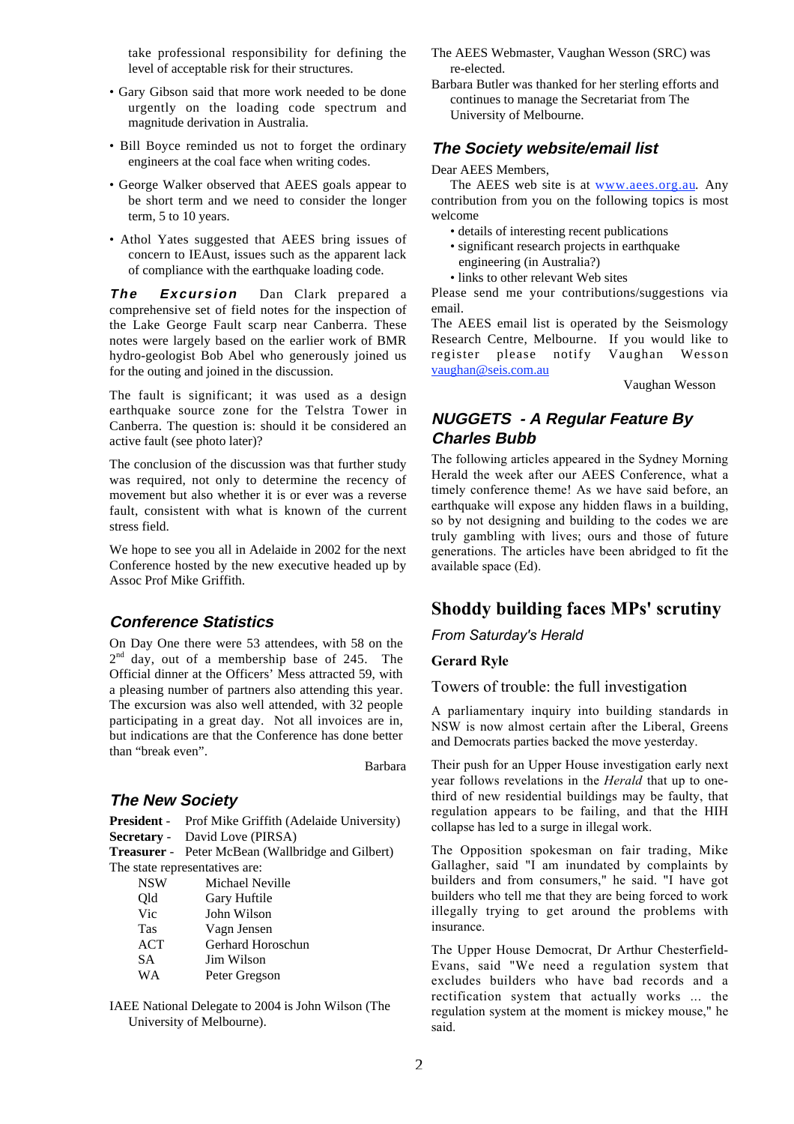take professional responsibility for defining the level of acceptable risk for their structures.

- Gary Gibson said that more work needed to be done urgently on the loading code spectrum and magnitude derivation in Australia.
- Bill Boyce reminded us not to forget the ordinary engineers at the coal face when writing codes.
- George Walker observed that AEES goals appear to be short term and we need to consider the longer term, 5 to 10 years.
- Athol Yates suggested that AEES bring issues of concern to IEAust, issues such as the apparent lack of compliance with the earthquake loading code.

**The Excursion** Dan Clark prepared a comprehensive set of field notes for the inspection of the Lake George Fault scarp near Canberra. These notes were largely based on the earlier work of BMR hydro-geologist Bob Abel who generously joined us for the outing and joined in the discussion.

The fault is significant; it was used as a design earthquake source zone for the Telstra Tower in Canberra. The question is: should it be considered an active fault (see photo later)?

The conclusion of the discussion was that further study was required, not only to determine the recency of movement but also whether it is or ever was a reverse fault, consistent with what is known of the current stress field.

We hope to see you all in Adelaide in 2002 for the next Conference hosted by the new executive headed up by Assoc Prof Mike Griffith.

## **Conference Statistics**

On Day One there were 53 attendees, with 58 on the 2<sup>nd</sup> day, out of a membership base of 245. The Official dinner at the Officers' Mess attracted 59, with a pleasing number of partners also attending this year. The excursion was also well attended, with 32 people participating in a great day. Not all invoices are in, but indications are that the Conference has done better than "break even".

Barbara

#### **The New Society**

**President** - Prof Mike Griffith (Adelaide University) **Secretary** - David Love (PIRSA)

**Treasurer** - Peter McBean (Wallbridge and Gilbert) The state representatives are:

| <b>NSW</b> | Michael Neville   |
|------------|-------------------|
| Old        | Gary Huftile      |
| Vic        | John Wilson       |
| <b>Tas</b> | Vagn Jensen       |
| ACT        | Gerhard Horoschun |
| SА         | Jim Wilson        |
| WA         | Peter Gregson     |

IAEE National Delegate to 2004 is John Wilson (The University of Melbourne).

- The AEES Webmaster, Vaughan Wesson (SRC) was re-elected.
- Barbara Butler was thanked for her sterling efforts and continues to manage the Secretariat from The University of Melbourne.

#### **The Society website/email list**

#### Dear AEES Members,

The AEES web site is at www.aees.org.au. Any contribution from you on the following topics is most welcome

- details of interesting recent publications
- significant research projects in earthquake
- engineering (in Australia?)
- links to other relevant Web sites

Please send me your contributions/suggestions via email.

The AEES email list is operated by the Seismology Research Centre, Melbourne. If you would like to register please notify Vaughan Wesson vaughan@seis.com.au

Vaughan Wesson

## **NUGGETS - A Regular Feature By Charles Bubb**

The following articles appeared in the Sydney Morning Herald the week after our AEES Conference, what a timely conference theme! As we have said before, an earthquake will expose any hidden flaws in a building. so by not designing and building to the codes we are truly gambling with lives; ours and those of future generations. The articles have been abridged to fit the available space (Ed).

## **Shoddy building faces MPs' scrutiny**

*From Saturday's Herald*

#### **Gerard Ryle**

Towers of trouble: the full investigation

A parliamentary inquiry into building standards in NSW is now almost certain after the Liberal, Greens and Democrats parties backed the move yesterday.

Their push for an Upper House investigation early next year follows revelations in the *Herald* that up to onethird of new residential buildings may be faulty, that regulation appears to be failing, and that the HIH collapse has led to a surge in illegal work.

The Opposition spokesman on fair trading, Mike Gallagher, said "I am inundated by complaints by builders and from consumers," he said. "I have got builders who tell me that they are being forced to work illegally trying to get around the problems with insurance.

The Upper House Democrat, Dr Arthur Chesterfield-Evans, said "We need a regulation system that excludes builders who have bad records and a rectification system that actually works ... the regulation system at the moment is mickey mouse," he said.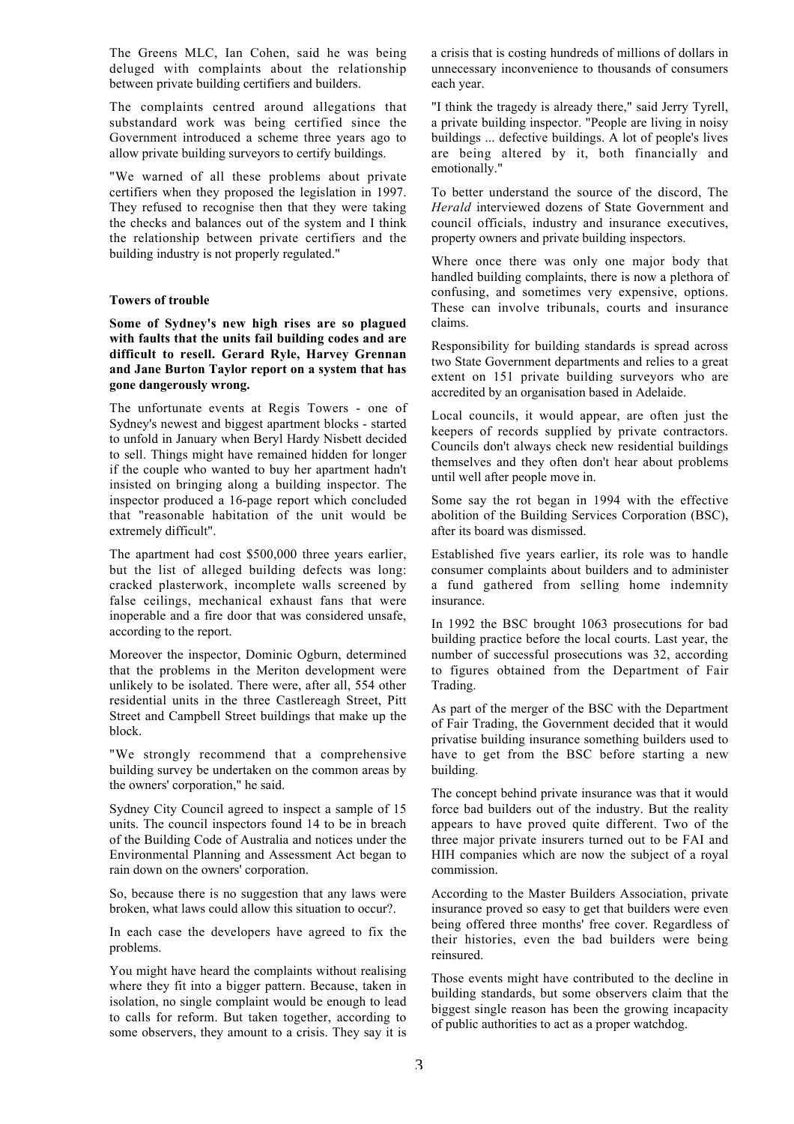The Greens MLC, Ian Cohen, said he was being deluged with complaints about the relationship between private building certifiers and builders.

The complaints centred around allegations that substandard work was being certified since the Government introduced a scheme three years ago to allow private building surveyors to certify buildings.

"We warned of all these problems about private certifiers when they proposed the legislation in 1997. They refused to recognise then that they were taking the checks and balances out of the system and I think the relationship between private certifiers and the building industry is not properly regulated."

#### **Towers of trouble**

**Some of Sydney's new high rises are so plagued with faults that the units fail building codes and are difficult to resell. Gerard Ryle, Harvey Grennan and Jane Burton Taylor report on a system that has gone dangerously wrong.**

The unfortunate events at Regis Towers - one of Sydney's newest and biggest apartment blocks - started to unfold in January when Beryl Hardy Nisbett decided to sell. Things might have remained hidden for longer if the couple who wanted to buy her apartment hadn't insisted on bringing along a building inspector. The inspector produced a 16-page report which concluded that "reasonable habitation of the unit would be extremely difficult".

The apartment had cost \$500,000 three years earlier, but the list of alleged building defects was long: cracked plasterwork, incomplete walls screened by false ceilings, mechanical exhaust fans that were inoperable and a fire door that was considered unsafe, according to the report.

Moreover the inspector, Dominic Ogburn, determined that the problems in the Meriton development were unlikely to be isolated. There were, after all, 554 other residential units in the three Castlereagh Street, Pitt Street and Campbell Street buildings that make up the block.

"We strongly recommend that a comprehensive building survey be undertaken on the common areas by the owners' corporation," he said.

Sydney City Council agreed to inspect a sample of 15 units. The council inspectors found 14 to be in breach of the Building Code of Australia and notices under the Environmental Planning and Assessment Act began to rain down on the owners' corporation.

So, because there is no suggestion that any laws were broken, what laws could allow this situation to occur?.

In each case the developers have agreed to fix the problems.

You might have heard the complaints without realising where they fit into a bigger pattern. Because, taken in isolation, no single complaint would be enough to lead to calls for reform. But taken together, according to some observers, they amount to a crisis. They say it is a crisis that is costing hundreds of millions of dollars in unnecessary inconvenience to thousands of consumers each year.

"I think the tragedy is already there," said Jerry Tyrell, a private building inspector. "People are living in noisy buildings ... defective buildings. A lot of people's lives are being altered by it, both financially and emotionally."

To better understand the source of the discord, The *Herald* interviewed dozens of State Government and council officials, industry and insurance executives, property owners and private building inspectors.

Where once there was only one major body that handled building complaints, there is now a plethora of confusing, and sometimes very expensive, options. These can involve tribunals, courts and insurance claims.

Responsibility for building standards is spread across two State Government departments and relies to a great extent on 151 private building surveyors who are accredited by an organisation based in Adelaide.

Local councils, it would appear, are often just the keepers of records supplied by private contractors. Councils don't always check new residential buildings themselves and they often don't hear about problems until well after people move in.

Some say the rot began in 1994 with the effective abolition of the Building Services Corporation (BSC), after its board was dismissed.

Established five years earlier, its role was to handle consumer complaints about builders and to administer a fund gathered from selling home indemnity insurance.

In 1992 the BSC brought 1063 prosecutions for bad building practice before the local courts. Last year, the number of successful prosecutions was 32, according to figures obtained from the Department of Fair Trading.

As part of the merger of the BSC with the Department of Fair Trading, the Government decided that it would privatise building insurance something builders used to have to get from the BSC before starting a new building.

The concept behind private insurance was that it would force bad builders out of the industry. But the reality appears to have proved quite different. Two of the three major private insurers turned out to be FAI and HIH companies which are now the subject of a royal commission.

According to the Master Builders Association, private insurance proved so easy to get that builders were even being offered three months' free cover. Regardless of their histories, even the bad builders were being reinsured.

Those events might have contributed to the decline in building standards, but some observers claim that the biggest single reason has been the growing incapacity of public authorities to act as a proper watchdog.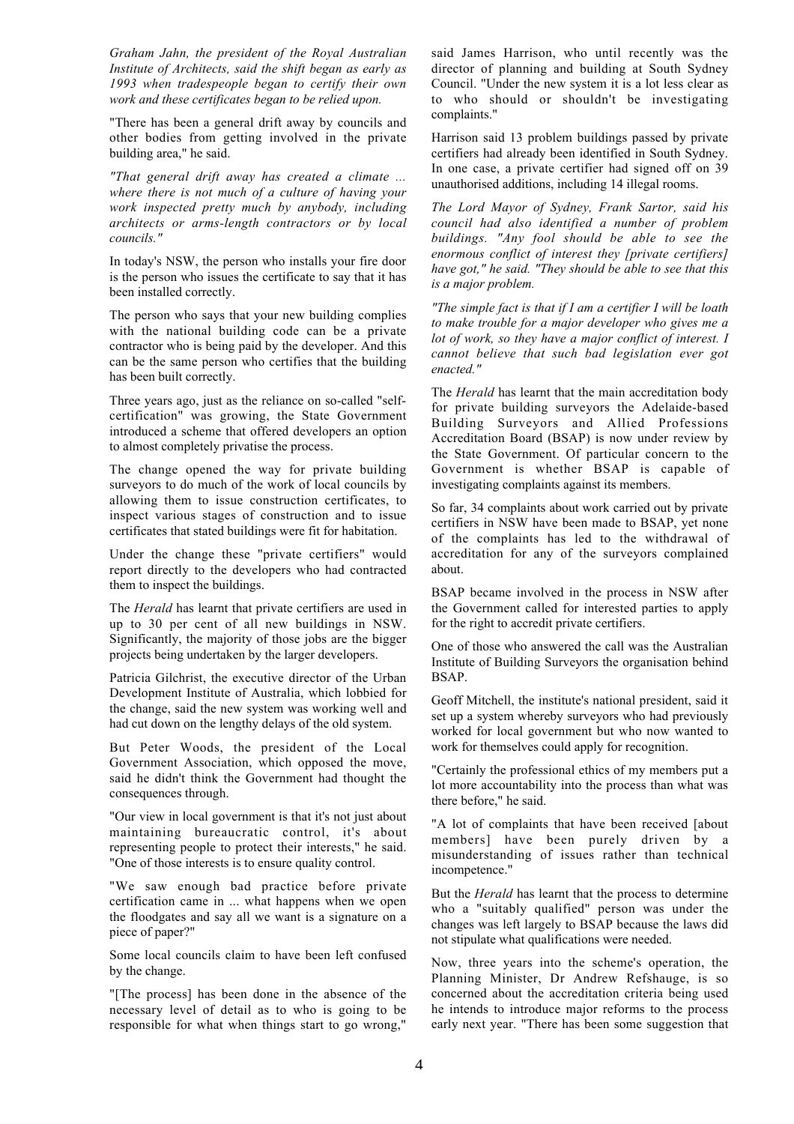*Graham Jahn, the president of the Royal Australian Institute of Architects, said the shift began as early as 1993 when tradespeople began to certify their own work and these certificates began to be relied upon.*

"There has been a general drift away by councils and other bodies from getting involved in the private building area," he said.

*"That general drift away has created a climate ... where there is not much of a culture of having your work inspected pretty much by anybody, including architects or arms-length contractors or by local councils."*

In today's NSW, the person who installs your fire door is the person who issues the certificate to say that it has been installed correctly.

The person who says that your new building complies with the national building code can be a private contractor who is being paid by the developer. And this can be the same person who certifies that the building has been built correctly.

Three years ago, just as the reliance on so-called "selfcertification" was growing, the State Government introduced a scheme that offered developers an option to almost completely privatise the process.

The change opened the way for private building surveyors to do much of the work of local councils by allowing them to issue construction certificates, to inspect various stages of construction and to issue certificates that stated buildings were fit for habitation.

Under the change these "private certifiers" would report directly to the developers who had contracted them to inspect the buildings.

The *Herald* has learnt that private certifiers are used in up to 30 per cent of all new buildings in NSW. Significantly, the majority of those jobs are the bigger projects being undertaken by the larger developers.

Patricia Gilchrist, the executive director of the Urban Development Institute of Australia, which lobbied for the change, said the new system was working well and had cut down on the lengthy delays of the old system.

But Peter Woods, the president of the Local Government Association, which opposed the move, said he didn't think the Government had thought the consequences through.

"Our view in local government is that it's not just about maintaining bureaucratic control, it's about representing people to protect their interests," he said. "One of those interests is to ensure quality control.

"We saw enough bad practice before private certification came in ... what happens when we open the floodgates and say all we want is a signature on a piece of paper?"

Some local councils claim to have been left confused by the change.

"[The process] has been done in the absence of the necessary level of detail as to who is going to be responsible for what when things start to go wrong,"

said James Harrison, who until recently was the director of planning and building at South Sydney Council. "Under the new system it is a lot less clear as to who should or shouldn't be investigating complaints."

Harrison said 13 problem buildings passed by private certifiers had already been identified in South Sydney. In one case, a private certifier had signed off on 39 unauthorised additions, including 14 illegal rooms.

*The Lord Mayor of Sydney, Frank Sartor, said his council had also identified a number of problem buildings. "Any fool should be able to see the enormous conflict of interest they [private certifiers] have got," he said. "They should be able to see that this is a major problem.*

*"The simple fact is that if I am a certifier I will be loath to make trouble for a major developer who gives me a lot of work, so they have a major conflict of interest. I cannot believe that such bad legislation ever got enacted."*

The *Herald* has learnt that the main accreditation body for private building surveyors the Adelaide-based Building Surveyors and Allied Professions Accreditation Board (BSAP) is now under review by the State Government. Of particular concern to the Government is whether BSAP is capable of investigating complaints against its members.

So far, 34 complaints about work carried out by private certifiers in NSW have been made to BSAP, yet none of the complaints has led to the withdrawal of accreditation for any of the surveyors complained about.

BSAP became involved in the process in NSW after the Government called for interested parties to apply for the right to accredit private certifiers.

One of those who answered the call was the Australian Institute of Building Surveyors the organisation behind BSAP.

Geoff Mitchell, the institute's national president, said it set up a system whereby surveyors who had previously worked for local government but who now wanted to work for themselves could apply for recognition.

"Certainly the professional ethics of my members put a lot more accountability into the process than what was there before," he said.

"A lot of complaints that have been received [about members] have been purely driven by a misunderstanding of issues rather than technical incompetence."

But the *Herald* has learnt that the process to determine who a "suitably qualified" person was under the changes was left largely to BSAP because the laws did not stipulate what qualifications were needed.

Now, three years into the scheme's operation, the Planning Minister, Dr Andrew Refshauge, is so concerned about the accreditation criteria being used he intends to introduce major reforms to the process early next year. "There has been some suggestion that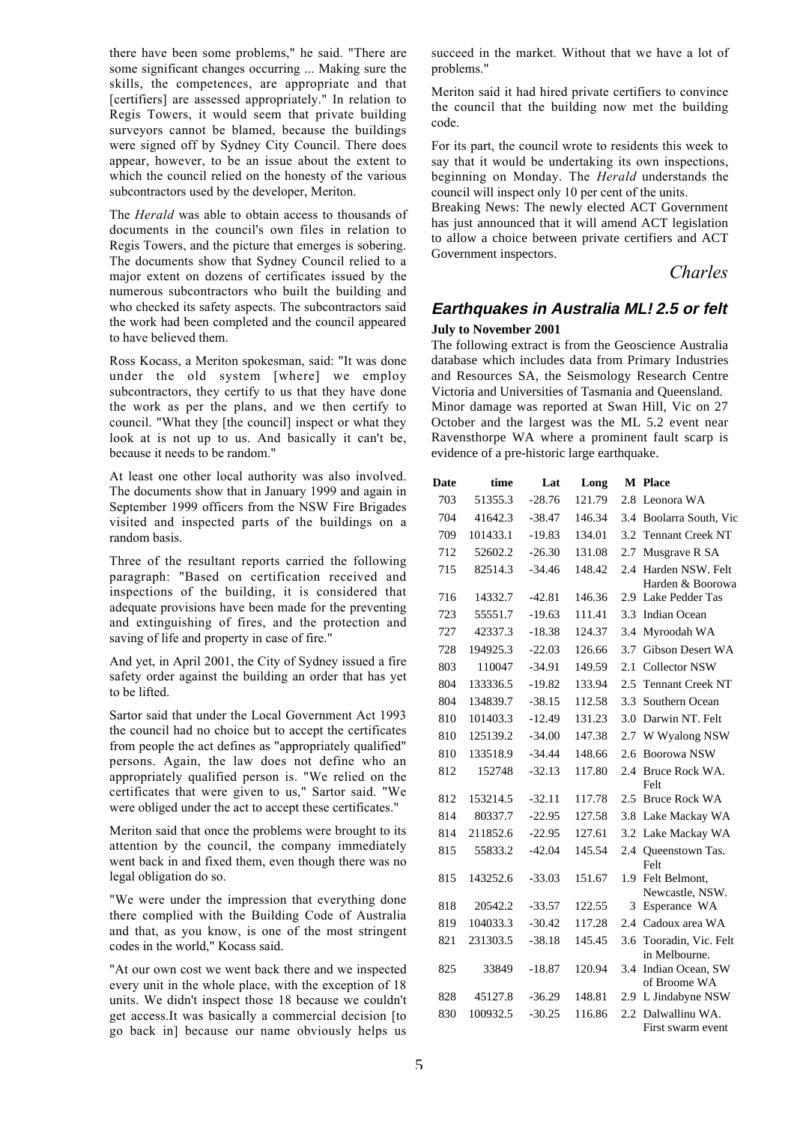there have been some problems," he said. "There are some significant changes occurring ... Making sure the skills, the competences, are appropriate and that [certifiers] are assessed appropriately." In relation to Regis Towers, it would seem that private building surveyors cannot be blamed, because the buildings were signed off by Sydney City Council. There does appear, however, to be an issue about the extent to which the council relied on the honesty of the various subcontractors used by the developer, Meriton.

The *Herald* was able to obtain access to thousands of documents in the council's own files in relation to Regis Towers, and the picture that emerges is sobering. The documents show that Sydney Council relied to a major extent on dozens of certificates issued by the numerous subcontractors who built the building and who checked its safety aspects. The subcontractors said the work had been completed and the council appeared to have believed them.

Ross Kocass, a Meriton spokesman, said: "It was done under the old system [where] we employ subcontractors, they certify to us that they have done the work as per the plans, and we then certify to council. "What they [the council] inspect or what they look at is not up to us. And basically it can't be, because it needs to be random."

At least one other local authority was also involved. The documents show that in January 1999 and again in September 1999 officers from the NSW Fire Brigades visited and inspected parts of the buildings on a random basis.

Three of the resultant reports carried the following paragraph: "Based on certification received and inspections of the building, it is considered that adequate provisions have been made for the preventing and extinguishing of fires, and the protection and saving of life and property in case of fire."

And yet, in April 2001, the City of Sydney issued a fire safety order against the building an order that has yet to be lifted.

Sartor said that under the Local Government Act 1993 the council had no choice but to accept the certificates from people the act defines as "appropriately qualified" persons. Again, the law does not define who an appropriately qualified person is. "We relied on the certificates that were given to us," Sartor said. "We were obliged under the act to accept these certificates."

Meriton said that once the problems were brought to its attention by the council, the company immediately went back in and fixed them, even though there was no legal obligation do so.

"We were under the impression that everything done there complied with the Building Code of Australia and that, as you know, is one of the most stringent codes in the world," Kocass said.

"At our own cost we went back there and we inspected every unit in the whole place, with the exception of 18 units. We didn't inspect those 18 because we couldn't get access.It was basically a commercial decision [to go back in] because our name obviously helps us

succeed in the market. Without that we have a lot of problems."

Meriton said it had hired private certifiers to convince the council that the building now met the building code.

For its part, the council wrote to residents this week to say that it would be undertaking its own inspections, beginning on Monday. The *Herald* understands the council will inspect only 10 per cent of the units.

Breaking News: The newly elected ACT Government has just announced that it will amend ACT legislation to allow a choice between private certifiers and ACT Government inspectors.

*Charles*

## **Earthquakes in Australia ML≥2.5 or felt July to November 2001**

The following extract is from the Geoscience Australia database which includes data from Primary Industries and Resources SA, the Seismology Research Centre Victoria and Universities of Tasmania and Queensland. Minor damage was reported at Swan Hill, Vic on 27 October and the largest was the ML 5.2 event near Ravensthorpe WA where a prominent fault scarp is evidence of a pre-historic large earthquake.

| Date | time     | Lat      | Long   |               | <b>M</b> Place                       |
|------|----------|----------|--------|---------------|--------------------------------------|
| 703  | 51355.3  | $-28.76$ | 121.79 | 2.8           | Leonora WA                           |
| 704  | 41642.3  | $-38.47$ | 146.34 | 3.4           | Boolarra South, Vic                  |
| 709  | 101433.1 | $-19.83$ | 134.01 | 3.2           | <b>Tennant Creek NT</b>              |
| 712  | 52602.2  | $-26.30$ | 131.08 | 2.7           | Musgrave R SA                        |
| 715  | 82514.3  | $-34.46$ | 148.42 | $2.4^{\circ}$ | Harden NSW. Felt<br>Harden & Boorowa |
| 716  | 14332.7  | $-42.81$ | 146.36 | 2.9           | Lake Pedder Tas                      |
| 723  | 55551.7  | $-19.63$ | 111.41 | 3.3           | <b>Indian Ocean</b>                  |
| 727  | 42337.3  | $-18.38$ | 124.37 | 3.4           | Myroodah WA                          |
| 728  | 194925.3 | $-22.03$ | 126.66 | 3.7           | <b>Gibson Desert WA</b>              |
| 803  | 110047   | $-34.91$ | 149.59 | 2.1           | Collector NSW                        |
| 804  | 133336.5 | $-19.82$ | 133.94 | 2.5           | <b>Tennant Creek NT</b>              |
| 804  | 134839.7 | $-38.15$ | 112.58 | 3.3           | Southern Ocean                       |
| 810  | 101403.3 | $-12.49$ | 131.23 | 3.0           | Darwin NT. Felt                      |
| 810  | 125139.2 | $-34.00$ | 147.38 | 2.7           | W Wyalong NSW                        |
| 810  | 133518.9 | $-34.44$ | 148.66 | 2.6           | Boorowa NSW                          |
| 812  | 152748   | $-32.13$ | 117.80 | 2.4           | Bruce Rock WA.<br>Felt               |
| 812  | 153214.5 | $-32.11$ | 117.78 | 2.5           | <b>Bruce Rock WA</b>                 |
| 814  | 80337.7  | $-22.95$ | 127.58 | 3.8           | Lake Mackay WA                       |
| 814  | 211852.6 | $-22.95$ | 127.61 | 3.2           | Lake Mackay WA                       |
| 815  | 55833.2  | $-42.04$ | 145.54 | 2.4           | Queenstown Tas.<br>Felt              |
| 815  | 143252.6 | $-33.03$ | 151.67 |               | 1.9 Felt Belmont,<br>Newcastle, NSW. |
| 818  | 20542.2  | $-33.57$ | 122.55 | 3             | Esperance WA                         |
| 819  | 104033.3 | $-30.42$ | 117.28 | 2.4           | Cadoux area WA                       |
| 821  | 231303.5 | $-38.18$ | 145.45 | 3.6           | Tooradin, Vic. Felt<br>in Melbourne. |
| 825  | 33849    | $-18.87$ | 120.94 | 3.4           | Indian Ocean, SW<br>of Broome WA     |
| 828  | 45127.8  | $-36.29$ | 148.81 | 2.9           | L Jindabyne NSW                      |
| 830  | 100932.5 | $-30.25$ | 116.86 | 2.2           | Dalwallinu WA.<br>First swarm event  |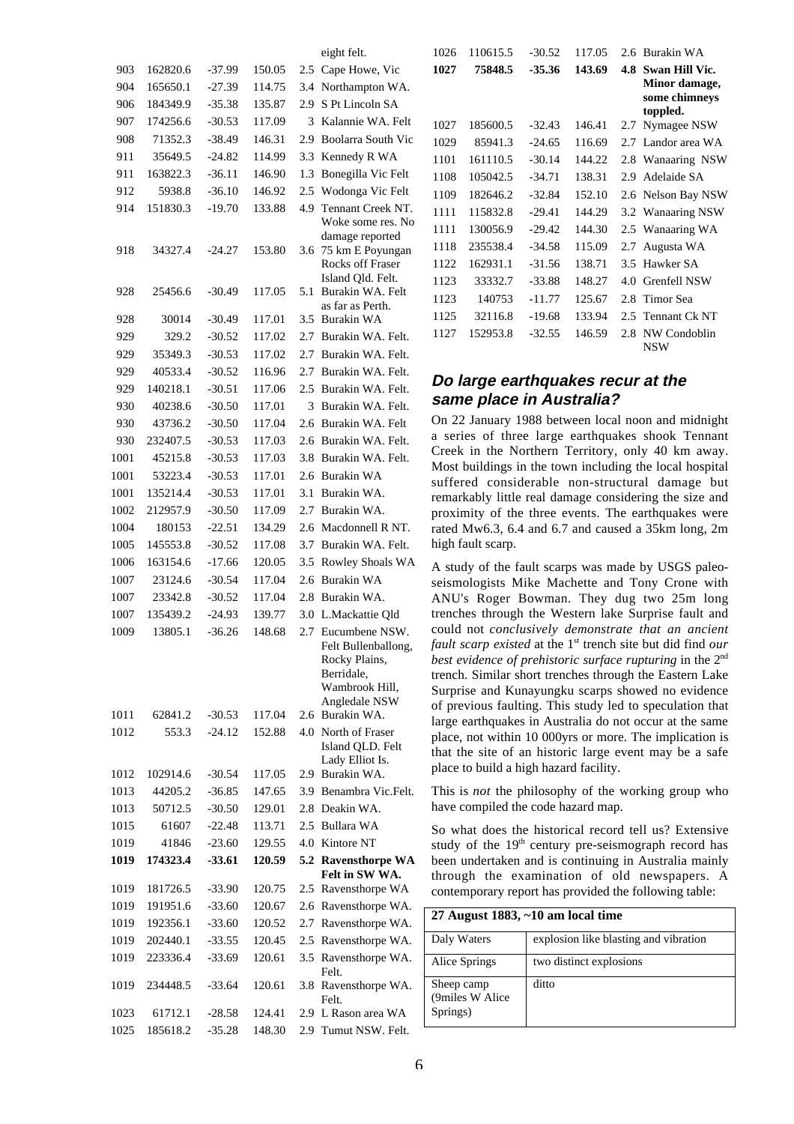|      |          |          |        |     | eight felt.                                                                                                            |
|------|----------|----------|--------|-----|------------------------------------------------------------------------------------------------------------------------|
| 903  | 162820.6 | $-37.99$ | 150.05 | 2.5 | Cape Howe, Vic                                                                                                         |
| 904  | 165650.1 | $-27.39$ | 114.75 | 3.4 | Northampton WA.                                                                                                        |
| 906  | 184349.9 | -35.38   | 135.87 | 2.9 | S Pt Lincoln SA                                                                                                        |
| 907  | 174256.6 | $-30.53$ | 117.09 | 3   | Kalannie WA. Felt                                                                                                      |
| 908  | 71352.3  | $-38.49$ | 146.31 | 2.9 | <b>Boolarra South Vic</b>                                                                                              |
| 911  | 35649.5  | $-24.82$ | 114.99 | 3.3 | Kennedy R WA                                                                                                           |
| 911  | 163822.3 | $-36.11$ | 146.90 | 1.3 | Bonegilla Vic Felt                                                                                                     |
| 912  | 5938.8   | $-36.10$ | 146.92 | 2.5 | Wodonga Vic Felt                                                                                                       |
| 914  | 151830.3 | $-19.70$ | 133.88 | 4.9 | Tennant Creek NT.<br>Woke some res. No                                                                                 |
| 918  | 34327.4  | -24.27   | 153.80 | 3.6 | damage reported<br>75 km E Poyungan<br>Rocks off Fraser<br>Island Qld. Felt.                                           |
| 928  | 25456.6  | $-30.49$ | 117.05 | 5.1 | Burakin WA. Felt<br>as far as Perth.                                                                                   |
| 928  | 30014    | $-30.49$ | 117.01 | 3.5 | <b>Burakin WA</b>                                                                                                      |
| 929  | 329.2    | $-30.52$ | 117.02 | 2.7 | Burakin WA. Felt.                                                                                                      |
| 929  | 35349.3  | $-30.53$ | 117.02 | 2.7 | Burakin WA. Felt.                                                                                                      |
| 929  | 40533.4  | $-30.52$ | 116.96 | 2.7 | Burakin WA. Felt.                                                                                                      |
| 929  | 140218.1 | $-30.51$ | 117.06 | 2.5 | Burakin WA. Felt.                                                                                                      |
| 930  | 40238.6  | -30.50   | 117.01 | 3   | Burakin WA. Felt.                                                                                                      |
| 930  | 43736.2  | $-30.50$ | 117.04 | 2.6 | Burakin WA. Felt                                                                                                       |
| 930  | 232407.5 | -30.53   | 117.03 | 2.6 | Burakin WA. Felt.                                                                                                      |
| 1001 | 45215.8  | $-30.53$ | 117.03 | 3.8 | Burakin WA. Felt.                                                                                                      |
| 1001 | 53223.4  | -30.53   | 117.01 | 2.6 | Burakin WA                                                                                                             |
| 1001 | 135214.4 | -30.53   | 117.01 | 3.1 | Burakin WA.                                                                                                            |
| 1002 | 212957.9 | $-30.50$ | 117.09 | 2.7 | Burakin WA.                                                                                                            |
| 1004 | 180153   | $-22.51$ | 134.29 | 2.6 | Macdonnell R NT.                                                                                                       |
| 1005 | 145553.8 | -30.52   | 117.08 | 3.7 | Burakin WA. Felt.                                                                                                      |
| 1006 | 163154.6 | $-17.66$ | 120.05 | 3.5 | Rowley Shoals WA                                                                                                       |
| 1007 | 23124.6  | -30.54   | 117.04 | 2.6 | <b>Burakin WA</b>                                                                                                      |
| 1007 | 23342.8  | -30.52   | 117.04 | 2.8 | Burakin WA.                                                                                                            |
| 1007 | 135439.2 | $-24.93$ | 139.77 | 3.0 | L.Mackattie Qld                                                                                                        |
| 1009 | 13805.1  | $-36.26$ | 148.68 | 2.7 |                                                                                                                        |
| 1011 | 62841.2  | $-30.53$ | 117.04 | 2.6 | Eucumbene NSW.<br>Felt Bullenballong,<br>Rocky Plains,<br>Berridale,<br>Wambrook Hill,<br>Angledale NSW<br>Burakin WA. |
| 1012 | 553.3    | $-24.12$ | 152.88 | 4.0 | North of Fraser                                                                                                        |
| 1012 | 102914.6 | $-30.54$ | 117.05 |     | Island QLD. Felt<br>Lady Elliot Is.<br>2.9 Burakin WA.                                                                 |
| 1013 |          |          | 147.65 | 3.9 | Benambra Vic.Felt.                                                                                                     |
|      | 44205.2  | -36.85   |        |     | Deakin WA.                                                                                                             |
| 1013 | 50712.5  | $-30.50$ | 129.01 | 2.8 |                                                                                                                        |
| 1015 | 61607    | -22.48   | 113.71 | 2.5 | Bullara WA                                                                                                             |
| 1019 | 41846    | $-23.60$ | 129.55 | 4.0 | Kintore NT                                                                                                             |
| 1019 | 174323.4 | $-33.61$ | 120.59 | 5.2 | <b>Ravensthorpe WA</b><br>Felt in SW WA.                                                                               |
| 1019 | 181726.5 | $-33.90$ | 120.75 | 2.5 | Ravensthorpe WA                                                                                                        |
| 1019 | 191951.6 | -33.60   | 120.67 | 2.6 | Ravensthorpe WA.                                                                                                       |
| 1019 | 192356.1 | -33.60   | 120.52 | 2.7 | Ravensthorpe WA.                                                                                                       |
| 1019 | 202440.1 | $-33.55$ | 120.45 | 2.5 | Ravensthorpe WA.                                                                                                       |
| 1019 | 223336.4 | $-33.69$ | 120.61 | 3.5 | Ravensthorpe WA.<br>Felt.                                                                                              |
| 1019 | 234448.5 | $-33.64$ | 120.61 | 3.8 | Ravensthorpe WA.<br>Felt.                                                                                              |
| 1023 | 61712.1  | -28.58   | 124.41 | 2.9 | L Rason area WA                                                                                                        |
| 1025 | 185618.2 | $-35.28$ | 148.30 | 2.9 | Tumut NSW. Felt.                                                                                                       |

| 1026 | 110615.5 | $-30.52$ | 117.05 |     | 2.6 Burakin WA                                                      |
|------|----------|----------|--------|-----|---------------------------------------------------------------------|
| 1027 | 75848.5  | $-35.36$ | 143.69 | 4.8 | <b>Swan Hill Vic.</b><br>Minor damage,<br>some chimneys<br>toppled. |
| 1027 | 185600.5 | $-32.43$ | 146.41 | 2.7 | Nymagee NSW                                                         |
| 1029 | 85941.3  | $-24.65$ | 116.69 |     | 2.7 Landor area WA                                                  |
| 1101 | 161110.5 | $-30.14$ | 144.22 | 2.8 | Wanaaring NSW                                                       |
| 1108 | 105042.5 | $-34.71$ | 138.31 | 2.9 | Adelaide SA                                                         |
| 1109 | 182646.2 | $-32.84$ | 152.10 |     | 2.6 Nelson Bay NSW                                                  |
| 1111 | 115832.8 | $-29.41$ | 144.29 |     | 3.2 Wanaaring NSW                                                   |
| 1111 | 130056.9 | $-29.42$ | 144.30 |     | 2.5 Wanaaring WA                                                    |
| 1118 | 235538.4 | $-34.58$ | 115.09 | 2.7 | Augusta WA                                                          |
| 1122 | 162931.1 | $-31.56$ | 138.71 | 3.5 | Hawker SA                                                           |
| 1123 | 33332.7  | $-33.88$ | 148.27 | 4.0 | Grenfell NSW                                                        |
| 1123 | 140753   | $-11.77$ | 125.67 | 2.8 | Timor Sea                                                           |
| 1125 | 32116.8  | $-19.68$ | 133.94 | 2.5 | Tennant Ck NT                                                       |
| 1127 | 152953.8 | $-32.55$ | 146.59 | 2.8 | NW Condoblin<br><b>NSW</b>                                          |
|      |          |          |        |     |                                                                     |

## **Do large earthquakes recur at the same place in Australia?**

On 22 January 1988 between local noon and midnight a series of three large earthquakes shook Tennant Creek in the Northern Territory, only 40 km away. Most buildings in the town including the local hospital suffered considerable non-structural damage but remarkably little real damage considering the size and proximity of the three events. The earthquakes were rated Mw6.3, 6.4 and 6.7 and caused a 35km long, 2m high fault scarp.

A study of the fault scarps was made by USGS paleoseismologists Mike Machette and Tony Crone with ANU's Roger Bowman. They dug two 25m long trenches through the Western lake Surprise fault and could not *conclusively demonstrate that an ancient fault scarp existed* at the 1<sup>st</sup> trench site but did find *our best evidence of prehistoric surface rupturing* in the 2nd trench. Similar short trenches through the Eastern Lake Surprise and Kunayungku scarps showed no evidence of previous faulting. This study led to speculation that large earthquakes in Australia do not occur at the same place, not within 10 000yrs or more. The implication is that the site of an historic large event may be a safe place to build a high hazard facility.

This is *not* the philosophy of the working group who have compiled the code hazard map.

So what does the historical record tell us? Extensive study of the  $19<sup>th</sup>$  century pre-seismograph record has been undertaken and is continuing in Australia mainly through the examination of old newspapers. A contemporary report has provided the following table:

| 27 August 1883, $\sim$ 10 am local time   |                                       |  |
|-------------------------------------------|---------------------------------------|--|
| Daly Waters                               | explosion like blasting and vibration |  |
| Alice Springs                             | two distinct explosions               |  |
| Sheep camp<br>(9miles W Alice<br>Springs) | ditto                                 |  |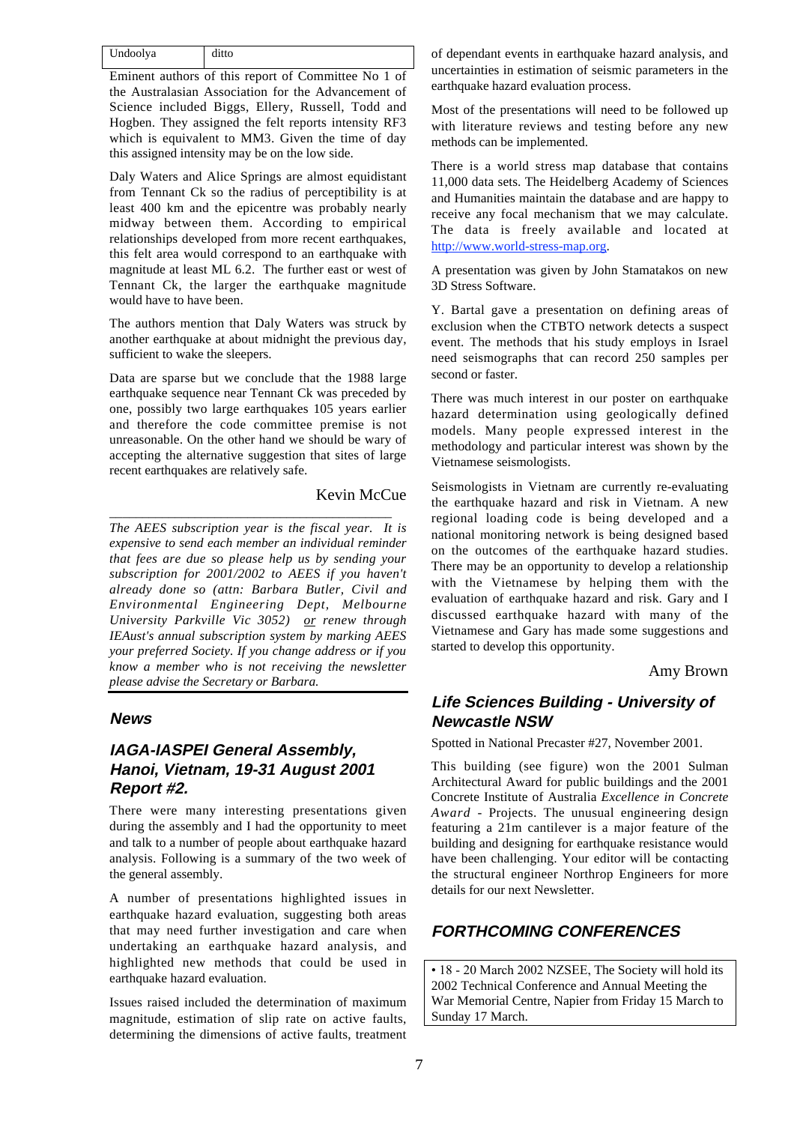| Undoolya | ditto |
|----------|-------|

Eminent authors of this report of Committee No 1 of the Australasian Association for the Advancement of Science included Biggs, Ellery, Russell, Todd and Hogben. They assigned the felt reports intensity RF3 which is equivalent to MM3. Given the time of day this assigned intensity may be on the low side.

Daly Waters and Alice Springs are almost equidistant from Tennant Ck so the radius of perceptibility is at least 400 km and the epicentre was probably nearly midway between them. According to empirical relationships developed from more recent earthquakes, this felt area would correspond to an earthquake with magnitude at least ML 6.2. The further east or west of Tennant Ck, the larger the earthquake magnitude would have to have been.

The authors mention that Daly Waters was struck by another earthquake at about midnight the previous day, sufficient to wake the sleepers.

Data are sparse but we conclude that the 1988 large earthquake sequence near Tennant Ck was preceded by one, possibly two large earthquakes 105 years earlier and therefore the code committee premise is not unreasonable. On the other hand we should be wary of accepting the alternative suggestion that sites of large recent earthquakes are relatively safe.

\_\_\_\_\_\_\_\_\_\_\_\_\_\_\_\_\_\_\_\_\_\_\_\_\_\_\_\_\_\_\_\_\_\_\_\_\_\_\_\_\_\_\_

#### Kevin McCue

*The AEES subscription year is the fiscal year. It is expensive to send each member an individual reminder that fees are due so please help us by sending your subscription for 2001/2002 to AEES if you haven't already done so (attn: Barbara Butler, Civil and Environmental Engineering Dept, Melbourne University Parkville Vic 3052) or renew through IEAust's annual subscription system by marking AEES your preferred Society. If you change address or if you know a member who is not receiving the newsletter please advise the Secretary or Barbara.*

#### **News**

## **IAGA-IASPEI General Assembly, Hanoi, Vietnam, 19-31 August 2001 Report #2.**

There were many interesting presentations given during the assembly and I had the opportunity to meet and talk to a number of people about earthquake hazard analysis. Following is a summary of the two week of the general assembly.

A number of presentations highlighted issues in earthquake hazard evaluation, suggesting both areas that may need further investigation and care when undertaking an earthquake hazard analysis, and highlighted new methods that could be used in earthquake hazard evaluation.

Issues raised included the determination of maximum magnitude, estimation of slip rate on active faults, determining the dimensions of active faults, treatment

of dependant events in earthquake hazard analysis, and uncertainties in estimation of seismic parameters in the earthquake hazard evaluation process.

Most of the presentations will need to be followed up with literature reviews and testing before any new methods can be implemented.

There is a world stress map database that contains 11,000 data sets. The Heidelberg Academy of Sciences and Humanities maintain the database and are happy to receive any focal mechanism that we may calculate. The data is freely available and located at http://www.world-stress-map.org.

A presentation was given by John Stamatakos on new 3D Stress Software.

Y. Bartal gave a presentation on defining areas of exclusion when the CTBTO network detects a suspect event. The methods that his study employs in Israel need seismographs that can record 250 samples per second or faster.

There was much interest in our poster on earthquake hazard determination using geologically defined models. Many people expressed interest in the methodology and particular interest was shown by the Vietnamese seismologists.

Seismologists in Vietnam are currently re-evaluating the earthquake hazard and risk in Vietnam. A new regional loading code is being developed and a national monitoring network is being designed based on the outcomes of the earthquake hazard studies. There may be an opportunity to develop a relationship with the Vietnamese by helping them with the evaluation of earthquake hazard and risk. Gary and I discussed earthquake hazard with many of the Vietnamese and Gary has made some suggestions and started to develop this opportunity.

#### Amy Brown

## **Life Sciences Building - University of Newcastle NSW**

Spotted in National Precaster #27, November 2001.

This building (see figure) won the 2001 Sulman Architectural Award for public buildings and the 2001 Concrete Institute of Australia *Excellence in Concrete Award* - Projects. The unusual engineering design featuring a 21m cantilever is a major feature of the building and designing for earthquake resistance would have been challenging. Your editor will be contacting the structural engineer Northrop Engineers for more details for our next Newsletter.

## **FORTHCOMING CONFERENCES**

• 18 - 20 March 2002 NZSEE, The Society will hold its 2002 Technical Conference and Annual Meeting the War Memorial Centre, Napier from Friday 15 March to Sunday 17 March.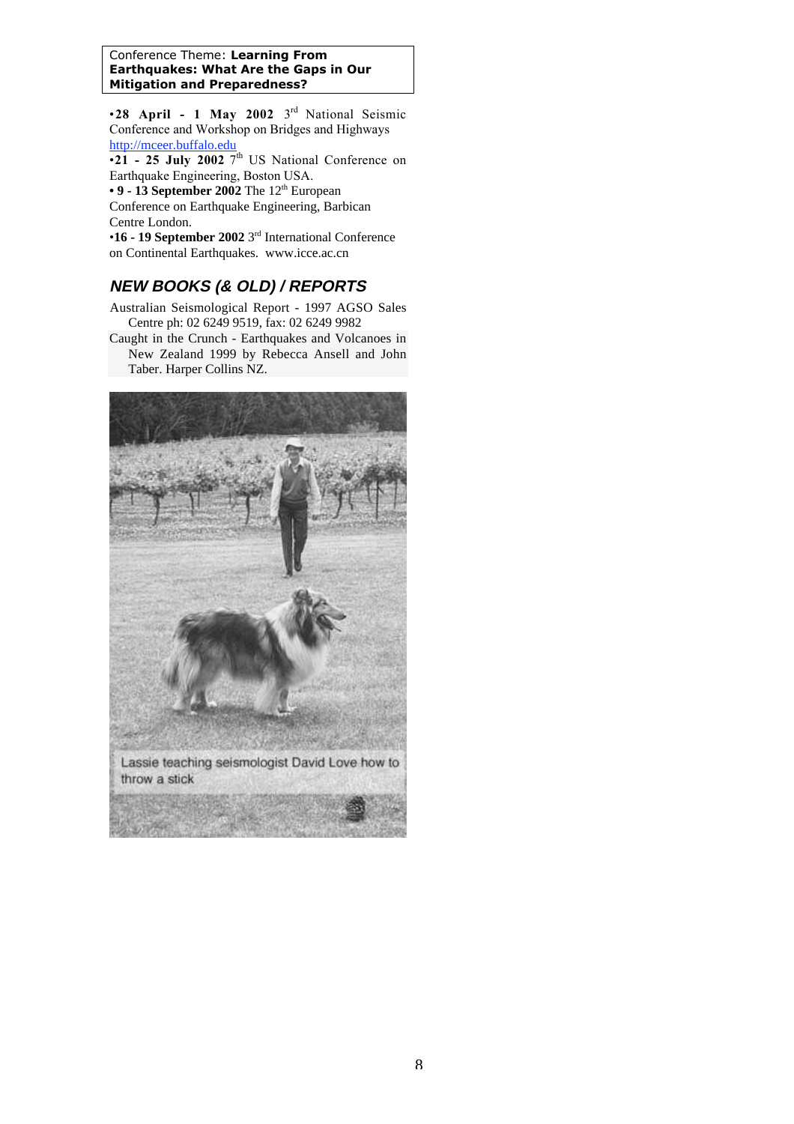#### Conference Theme: **Learning From Earthquakes: What Are the Gaps in Our Mitigation and Preparedness?**

•**28 April - 1 May 2002** 3rd National Seismic Conference and Workshop on Bridges and Highways http://mceer.buffalo.edu

 $\overline{\cdot 21}$  - 25 July 2002 7<sup>th</sup> US National Conference on Earthquake Engineering, Boston USA.

• 9 - 13 September 2002 The 12<sup>th</sup> European

Conference on Earthquake Engineering, Barbican Centre London.

•**16 - 19 September 2002** 3rd International Conference on Continental Earthquakes. www.icce.ac.cn

## **NEW BOOKS (& OLD) / REPORTS**

Australian Seismological Report - 1997 AGSO Sales Centre ph: 02 6249 9519, fax: 02 6249 9982

Caught in the Crunch - Earthquakes and Volcanoes in New Zealand 1999 by Rebecca Ansell and John Taber. Harper Collins NZ.